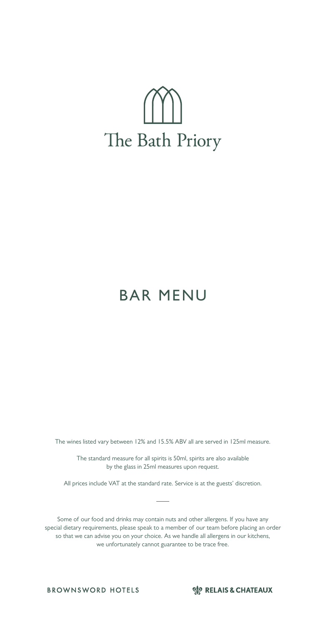# The Bath Priory

# BAR MENU

The wines listed vary between 12% and 15.5% ABV all are served in 125ml measure.

The standard measure for all spirits is 50ml, spirits are also available by the glass in 25ml measures upon request.

All prices include VAT at the standard rate. Service is at the guests' discretion.

Some of our food and drinks may contain nuts and other allergens. If you have any special dietary requirements, please speak to a member of our team before placing an order so that we can advise you on your choice. As we handle all allergens in our kitchens, we unfortunately cannot guarantee to be trace free.

**BROWNSWORD HOTELS** 

SP RELAIS & CHATEAUX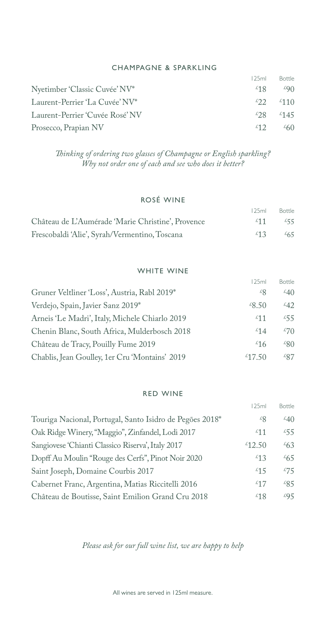#### CHAMPAGNE & SPARKLING

|                                 | 125ml           | <b>Bottle</b>                 |
|---------------------------------|-----------------|-------------------------------|
| Nyetimber 'Classic Cuvée' NV*   | 18 <sup>2</sup> | 290                           |
| Laurent-Perrier 'La Cuvée' NV*  | 22              | $\frac{1}{2}$ 110             |
| Laurent-Perrier 'Cuvée Rosé' NV |                 | $\frac{1}{28}$ $\frac{1}{45}$ |
| Prosecco, Prapian NV            | £12             | $\frac{260}{5}$               |

*Thinking of ordering two glasses of Champagne or English sparkling? Why not order one of each and see who does it better?*

# ROSÉ WINE

|                                                   | 125ml       | <b>Bottle</b>    |
|---------------------------------------------------|-------------|------------------|
| Château de L'Aumérade 'Marie Christine', Provence | - ≴11       | 255              |
| Frescobaldi 'Alie', Syrah/Vermentino, Toscana     | $\angle 13$ | $\frac{2}{6}$ 65 |

#### WHITE WINE

| 125ml                                                     | Bottle                              |
|-----------------------------------------------------------|-------------------------------------|
| Gruner Veltliner 'Loss', Austria, Rabl 2019*              | $\angle 40$<br>٤g                   |
| Verdejo, Spain, Javier Sanz 2019*<br>$\angle 8.50$        | $\frac{2}{42}$                      |
| Arneis 'Le Madri', Italy, Michele Chiarlo 2019            | 255<br>511                          |
| Chenin Blanc, South Africa, Mulderbosch 2018              | $\mathcal{L}70$<br>$\mathcal{L}$ 14 |
| Château de Tracy, Pouilly Fume 2019                       | $\angle 80$<br>$\frac{1}{2}$ 16     |
| Chablis, Jean Goulley, 1er Cru 'Montains' 2019<br>\$17.50 | $\&87$                              |

#### RED WINE

|                                                          | 125ml            | Bottle          |
|----------------------------------------------------------|------------------|-----------------|
| Touriga Nacional, Portugal, Santo Isidro de Pegões 2018* | $\mathcal{L}8$   | $\angle 40$     |
| Oak Ridge Winery, "Maggio", Zinfandel, Lodi 2017         | 511              | 255             |
| Sangiovese 'Chianti Classico Riserva', Italy 2017        | $*12.50$         | $^{26}63$       |
| Dopff Au Moulin "Rouge des Cerfs", Pinot Noir 2020       | $\frac{1}{2}$ 13 | $\frac{265}{5}$ |
| Saint Joseph, Domaine Courbis 2017                       | 515              | 275             |
| Cabernet Franc, Argentina, Matias Riccitelli 2016        | £17              | 285             |
| Château de Boutisse, Saint Emilion Grand Cru 2018        | 2518             | 295             |

*Please ask for our full wine list, we are happy to help*

All wines are served in 125ml measure.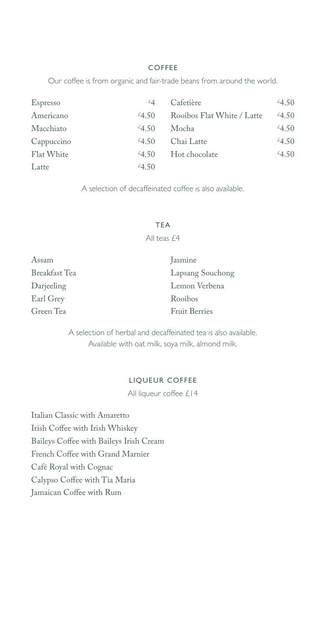#### COFFEE

Our coffee is from organic and fair-trade beans from around the world.

| Espresso   | $\mathcal{L}$ | Cafetière                  | 4.50       |
|------------|---------------|----------------------------|------------|
| Americano  | $-4.50$       | Rooibos Flat White / Latte | $^{4}4.50$ |
| Macchiato  | 4.50          | Mocha                      | 4.50       |
| Cappuccino | $-4.50$       | Chai Latte                 | $^{4}4.50$ |
| Flat White | $-4.50$       | Hot chocolate              | 4.50       |
| Latte      | 4.50          |                            |            |

A selection of decaffeinated coffee is also available.

#### TEA

All teas £4

| Assam         | Jasmine              |
|---------------|----------------------|
| Breakfast Tea | Lapsang Souchong     |
| Darjeeling    | Lemon Verbena        |
| Earl Grey     | Rooibos              |
| Green Tea     | <b>Fruit Berries</b> |

A selection of herbal and decaffeinated tea is also available. Available with oat milk, soya milk, almond milk.

#### LIQUEUR COFFEE

All liqueur coffee £14

Italian Classic with Amaretto Irish Coffee with Irish Whiskey Baileys Coffee with Baileys Irish Cream French Coffee with Grand Marnier Café Royal with Cognac Calypso Coffee with Tia Maria Jamaican Coffee with Rum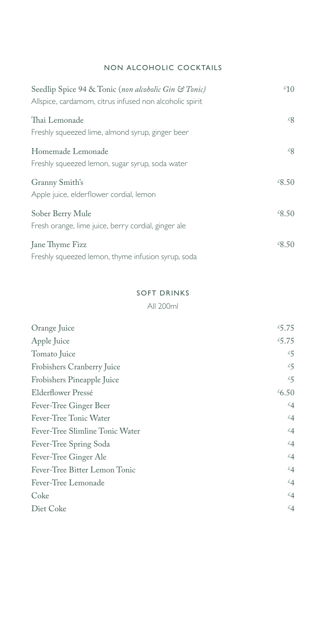# NON ALCOHOLIC COCKTAILS

| Seedlip Spice 94 & Tonic (non alcoholic Gin & Tonic)<br>Allspice, cardamom, citrus infused non alcoholic spirit | $\frac{1}{2}$              |
|-----------------------------------------------------------------------------------------------------------------|----------------------------|
| Thai Lemonade<br>Freshly squeezed lime, almond syrup, ginger beer                                               | $\mathcal{L}_{\mathsf{R}}$ |
| Homemade Lemonade<br>Freshly squeezed lemon, sugar syrup, soda water                                            | $\mathcal{L}_{\mathsf{R}}$ |
| Granny Smith's<br>Apple juice, elderflower cordial, lemon                                                       | $^{28.50}$                 |
| Sober Berry Mule<br>Fresh orange, lime juice, berry cordial, ginger ale                                         | $\sqrt{8.50}$              |
| Jane Thyme Fizz<br>Freshly squeezed lemon, thyme infusion syrup, soda                                           | $\angle 8.50$              |

#### SOFT DRINKS

All 200ml

| Orange Juice                    | 45.75             |
|---------------------------------|-------------------|
| Apple Juice                     | 5.75              |
| Tomato Juice                    | 55                |
| Frobishers Cranberry Juice      | 55                |
| Frobishers Pineapple Juice      | 55                |
| Elderflower Pressé              | $\frac{1}{6}$ .50 |
| Fever-Tree Ginger Beer          | $\mathcal{L}$ 4   |
| Fever-Tree Tonic Water          | $\mathcal{L}$ 4   |
| Fever-Tree Slimline Tonic Water | $\mathcal{L}$ 4   |
| Fever-Tree Spring Soda          | $\mathcal{L}$ 4   |
| Fever-Tree Ginger Ale           | $\mathcal{L}$ 4   |
| Fever-Tree Bitter Lemon Tonic   | $\mathcal{L}4$    |
| Fever-Tree Lemonade             | $\mathcal{L}$ 4   |
| Coke                            | $\mathcal{L}$ 4   |
| Diet Coke                       | $\mathcal{L}$ 4   |
|                                 |                   |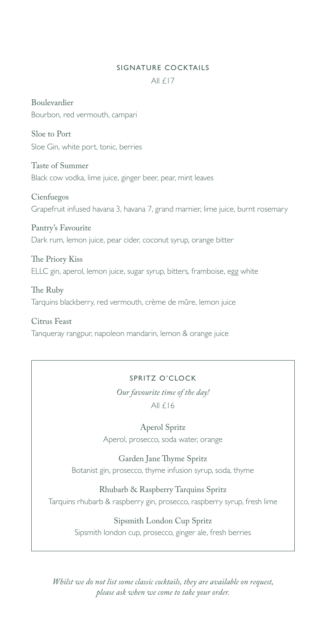#### SIGNATURE COCKTAILS

All  $f17$ 

Boulevardier Bourbon, red vermouth, campari

Sloe to Port Sloe Gin, white port, tonic, berries

Taste of Summer Black cow vodka, lime juice, ginger beer, pear, mint leaves

Cienfuegos Grapefruit infused havana 3, havana 7, grand marnier, lime juice, burnt rosemary

Pantry's Favourite Dark rum, lemon juice, pear cider, coconut syrup, orange bitter

The Priory Kiss ELLC gin, aperol, lemon juice, sugar syrup, bitters, framboise, egg white

The Ruby Tarquins blackberry, red vermouth, crème de mûre, lemon juice

Citrus Feast Tanqueray rangpur, napoleon mandarin, lemon & orange juice

# SPRITZ O'CLOCK

*Our favourite time of the day!* All  $f16$ 

Aperol Spritz Aperol, prosecco, soda water, orange

Garden Jane Thyme Spritz Botanist gin, prosecco, thyme infusion syrup, soda, thyme

Rhubarb & Raspberry Tarquins Spritz Tarquins rhubarb & raspberry gin, prosecco, raspberry syrup, fresh lime

> Sipsmith London Cup Spritz Sipsmith london cup, prosecco, ginger ale, fresh berries

*Whilst we do not list some classic cocktails, they are available on request, please ask when we come to take your order.*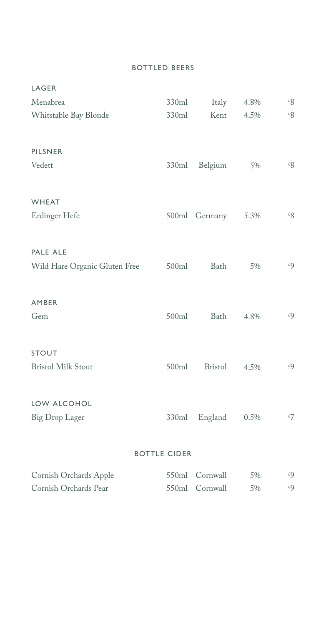#### BOTTLED BEERS

| LAGER                         |                     |                |      |                |
|-------------------------------|---------------------|----------------|------|----------------|
| Menabrea                      | 330ml               | Italy          | 4.8% | 22             |
| Whitstable Bay Blonde         | 330ml               | Kent           | 4.5% | $\mathcal{L}Q$ |
| PILSNER                       |                     |                |      |                |
| Vedett                        | 330ml               | Belgium        | 5%   | 22             |
| WHEAT                         |                     |                |      |                |
| Erdinger Hefe                 | 500ml               | Germany        | 5.3% | 22             |
| PALE ALE                      |                     |                |      |                |
| Wild Hare Organic Gluten Free | 500ml               | Bath           | 5%   | £9             |
| AMBER                         |                     |                |      |                |
| Gem                           | 500ml               | Bath           | 4.8% | £9             |
| <b>STOUT</b>                  |                     |                |      |                |
| <b>Bristol Milk Stout</b>     | 500ml               | <b>Bristol</b> | 4.5% | 49             |
| LOW ALCOHOL                   |                     |                |      |                |
| Big Drop Lager                | 330ml               | England        | 0.5% | 57             |
|                               | <b>BOTTLE CIDER</b> |                |      |                |

| Cornish Orchards Apple | 550ml Cornwall | 5% | £Q |
|------------------------|----------------|----|----|
| Cornish Orchards Pear  | 550ml Cornwall | 5% | £Q |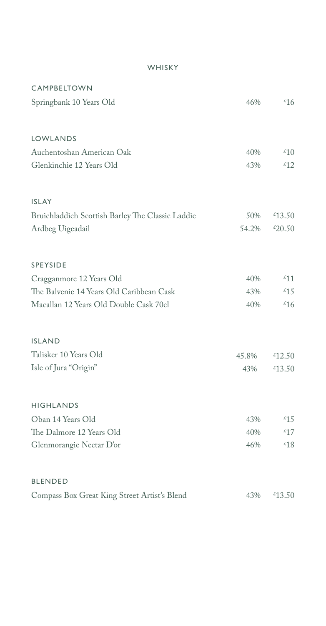# WHISKY

| <b>CAMPBELTOWN</b>                               |       |                  |
|--------------------------------------------------|-------|------------------|
| Springbank 10 Years Old                          | 46%   | $\frac{1}{6}$    |
|                                                  |       |                  |
| LOWLANDS                                         |       |                  |
| Auchentoshan American Oak                        | 40%   | $\overline{210}$ |
| Glenkinchie 12 Years Old                         | 43%   | $\frac{\ell}{2}$ |
| <b>ISLAY</b>                                     |       |                  |
| Bruichladdich Scottish Barley The Classic Laddie | 50%   | $*13.50$         |
| Ardbeg Uigeadail                                 | 54.2% | 420.50           |
| <b>SPEYSIDE</b>                                  |       |                  |
| Cragganmore 12 Years Old                         | 40%   | 511              |
| The Balvenie 14 Years Old Caribbean Cask         | 43%   | €15              |
| Macallan 12 Years Old Double Cask 70cl           | 40%   | $\frac{1}{6}$    |
| <b>ISLAND</b>                                    |       |                  |
| Talisker 10 Years Old                            | 45.8% | $*12.50$         |
| Isle of Jura "Origin"                            | 43%   | $^{2}13.50$      |
| <b>HIGHLANDS</b>                                 |       |                  |
| Oban 14 Years Old                                | 43%   | $\frac{15}{2}$   |
| The Dalmore 12 Years Old                         | 40%   | $\frac{17}{2}$   |
| Glenmorangie Nectar D'or                         | 46%   | €18              |
| <b>BLENDED</b>                                   |       |                  |
| Compass Box Great King Street Artist's Blend     | 43%   | $*13.50$         |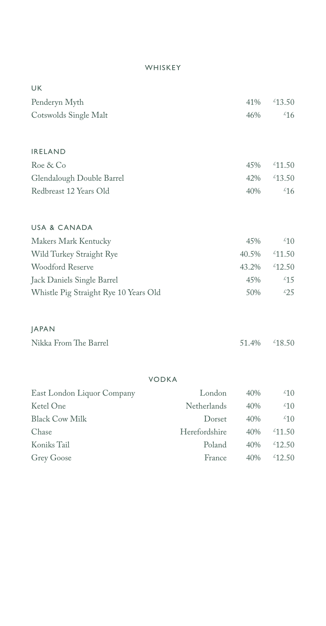# WHISKEY

| UK                                    |               |       |                  |
|---------------------------------------|---------------|-------|------------------|
| Penderyn Myth                         |               | 41%   | $*13.50$         |
| Cotswolds Single Malt                 |               | 46%   | $\frac{1}{6}$    |
|                                       |               |       |                  |
|                                       |               |       |                  |
| <b>IRELAND</b>                        |               |       |                  |
| Roe & Co                              |               | 45%   | $*11.50$         |
| Glendalough Double Barrel             |               | 42%   | €13.50           |
| Redbreast 12 Years Old                |               | 40%   | $\frac{1}{6}$    |
|                                       |               |       |                  |
| <b>USA &amp; CANADA</b>               |               |       |                  |
| Makers Mark Kentucky                  |               | 45%   | $\mathcal{L}10$  |
| Wild Turkey Straight Rye              |               | 40.5% | $*11.50$         |
| Woodford Reserve                      |               | 43.2% | $*12.50$         |
| Jack Daniels Single Barrel            |               | 45%   | $\frac{15}{2}$   |
| Whistle Pig Straight Rye 10 Years Old |               | 50%   | $\frac{25}{25}$  |
|                                       |               |       |                  |
| <b>JAPAN</b>                          |               |       |                  |
| Nikka From The Barrel                 |               | 51.4% | €18.50           |
|                                       |               |       |                  |
|                                       |               |       |                  |
| <b>VODKA</b>                          |               |       |                  |
| East London Liquor Company            | London        | 40\%  | $\frac{1}{2}$ 10 |
| Ketel One                             | Netherlands   | 40%   | $\frac{1}{2}$    |
| <b>Black Cow Milk</b>                 | Dorset        | 40%   | $\frac{1}{2}$    |
| Chase                                 | Herefordshire | 40%   | $*11.50$         |
| Koniks Tail                           | Poland        | 40%   | €12.50           |
| Grey Goose                            | France        | 40%   | $*12.50$         |
|                                       |               |       |                  |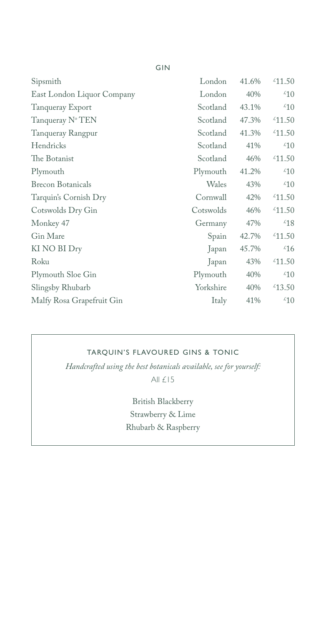| Sipsmith                   | London    | 41.6% | $*11.50$         |
|----------------------------|-----------|-------|------------------|
| East London Liquor Company | London    | 40%   | $\frac{1}{2}$    |
| Tanqueray Export           | Scotland  | 43.1% | $\sqrt[2]{10}$   |
| Tanqueray N° TEN           | Scotland  | 47.3% | $*11.50$         |
| Tanqueray Rangpur          | Scotland  | 41.3% | $*11.50$         |
| Hendricks                  | Scotland  | 41%   | $\frac{1}{2}$    |
| The Botanist               | Scotland  | 46%   | $*11.50$         |
| Plymouth                   | Plymouth  | 41.2% | $\frac{1}{2}$    |
| <b>Brecon Botanicals</b>   | Wales     | 43%   | $\overline{210}$ |
| Tarquin's Cornish Dry      | Cornwall  | 42%   | $*11.50$         |
| Cotswolds Dry Gin          | Cotswolds | 46%   | €11.50           |
| Monkey 47                  | Germany   | 47%   | $\frac{18}{18}$  |
| Gin Mare                   | Spain     | 42.7% | $*11.50$         |
| KI NO BI Dry               | Japan     | 45.7% | $\frac{1}{6}$    |
| Roku                       | Japan     | 43%   | $^{21.50}$       |
| Plymouth Sloe Gin          | Plymouth  | 40%   | $\sqrt[2]{10}$   |
| Slingsby Rhubarb           | Yorkshire | 40%   | $*13.50$         |
| Malfy Rosa Grapefruit Gin  | Italy     | 41%   | $\frac{1}{2}$    |
|                            |           |       |                  |

# TARQUIN'S FLAVOURED GINS & TONIC

*Handcrafted using the best botanicals available, see for yourself:* All £15

> British Blackberry Strawberry & Lime Rhubarb & Raspberry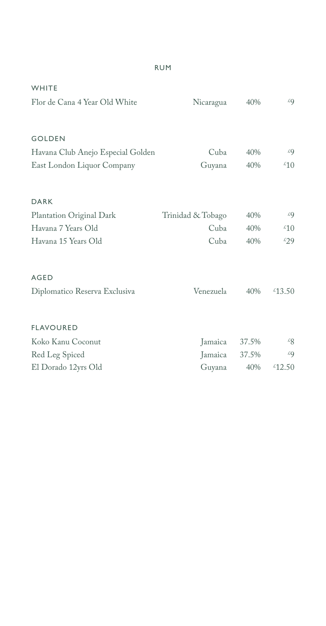| WHITE                             |                   |       |                |
|-----------------------------------|-------------------|-------|----------------|
| Flor de Cana 4 Year Old White     | Nicaragua         | 40%   | £9             |
|                                   |                   |       |                |
| <b>GOLDEN</b>                     |                   |       |                |
| Havana Club Anejo Especial Golden | Cuba              | 40%   | £9             |
| East London Liquor Company        | Guyana            | 40%   | $\frac{1}{2}$  |
| DARK                              |                   |       |                |
| Plantation Original Dark          | Trinidad & Tobago | 40%   | £9             |
| Havana 7 Years Old                | Cuba              | 40%   | $\frac{1}{2}$  |
| Havana 15 Years Old               | Cuba              | 40%   | $\epsilon$ 29  |
| <b>AGED</b>                       |                   |       |                |
| Diplomatico Reserva Exclusiva     | Venezuela         | 40%   | $*13.50$       |
| <b>FLAVOURED</b>                  |                   |       |                |
| Koko Kanu Coconut                 | Jamaica           | 37.5% | $\mathcal{L}8$ |
| Red Leg Spiced                    | Jamaica           | 37.5% | £9             |
| El Dorado 12yrs Old               | Guyana            | 40%   | £12.50         |

# RUM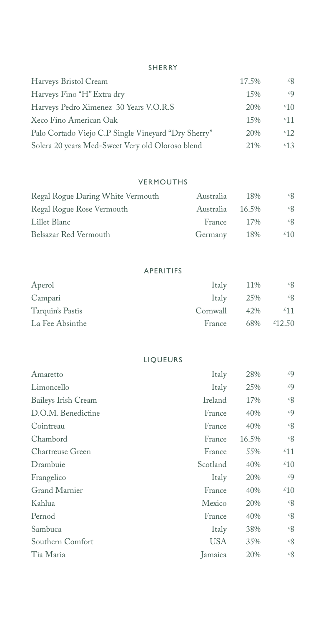#### SHERRY

| Harveys Bristol Cream                               | 17.5% | $\mathcal{L}S$ |
|-----------------------------------------------------|-------|----------------|
| Harveys Fino "H" Extra dry                          | 15%   | £9             |
| Harveys Pedro Ximenez 30 Years V.O.R.S              | 20%   | $\epsilon$ 10  |
| Xeco Fino American Oak                              | 15%   | 511            |
| Palo Cortado Viejo C.P Single Vineyard "Dry Sherry" | 20%   | $\frac{1}{2}$  |
| Solera 20 years Med-Sweet Very old Oloroso blend    | 21%   | 25             |

#### VERMOUTHS

| Regal Rogue Daring White Vermouth | Australia | 18%   | £8                         |
|-----------------------------------|-----------|-------|----------------------------|
| Regal Rogue Rose Vermouth         | Australia | 16.5% | $\mathcal{L}_{\mathsf{R}}$ |
| Lillet Blanc                      | France    | 17%   | $\mathcal{L}_{\mathsf{R}}$ |
| Belsazar Red Vermouth             | Germany   | 18%   | $\ell$ 10                  |

# APERITIFS

| Aperol           | <b>Italy</b> | 11% | $\mathscr{L}_{8}$           |
|------------------|--------------|-----|-----------------------------|
| Campari          | Italy        | 25% | $\&8$                       |
| Tarquin's Pastis | Cornwall     | 42% | 251                         |
| La Fee Absinthe  | France       | 68% | $\text{\textsterling}12.50$ |

#### LIQUEURS

| Amaretto            | Italy    | 28%   | £9            |
|---------------------|----------|-------|---------------|
| Limoncello          | Italy    | 25%   | £Q            |
| Baileys Irish Cream | Ireland  | 17%   | 28            |
| D.O.M. Benedictine  | France   | 40%   | £9            |
| Cointreau           | France   | 40%   | 22            |
| Chambord            | France   | 16.5% | 28            |
| Chartreuse Green    | France   | 55%   | $\frac{1}{2}$ |
| Drambuie            | Scotland | 40%   | $\frac{1}{2}$ |
| Frangelico          | Italy    | 20%   | €9            |
| Grand Marnier       | France   | 40%   | $\frac{1}{2}$ |
| Kahlua              | Mexico   | 20%   | 22            |
| Pernod              | France   | 40%   | 28            |
| Sambuca             | Italy    | 38%   | 28            |
| Southern Comfort    | USA      | 35%   | 22            |
| Tia Maria           | Jamaica  | 20%   | 28            |
|                     |          |       |               |